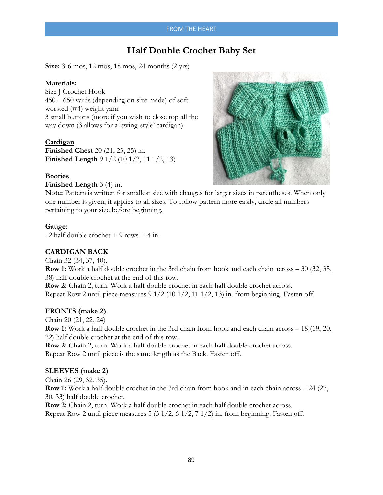# **Half Double Crochet Baby Set**

**Size:** 3-6 mos, 12 mos, 18 mos, 24 months (2 yrs)

### **Materials:**

Size J Crochet Hook 450 – 650 yards (depending on size made) of soft worsted (#4) weight yarn 3 small buttons (more if you wish to close top all the way down (3 allows for a 'swing-style' cardigan)

#### **Cardigan**

**Finished Chest** 20 (21, 23, 25) in. **Finished Length** 9 1/2 (10 1/2, 11 1/2, 13)

#### **Booties**

**Finished Length** 3 (4) in.



Note: Pattern is written for smallest size with changes for larger sizes in parentheses. When only one number is given, it applies to all sizes. To follow pattern more easily, circle all numbers pertaining to your size before beginning.

#### **Gauge:**

12 half double crochet  $+9$  rows  $= 4$  in.

### **CARDIGAN BACK**

Chain 32 (34, 37, 40). **Row 1:** Work a half double crochet in the 3rd chain from hook and each chain across – 30 (32, 35, 38) half double crochet at the end of this row. **Row 2:** Chain 2, turn. Work a half double crochet in each half double crochet across.

Repeat Row 2 until piece measures 9 1/2 (10 1/2, 11 1/2, 13) in. from beginning. Fasten off.

### **FRONTS (make 2)**

Chain 20 (21, 22, 24) **Row 1:** Work a half double crochet in the 3rd chain from hook and each chain across – 18 (19, 20, 22) half double crochet at the end of this row.

**Row 2:** Chain 2, turn. Work a half double crochet in each half double crochet across. Repeat Row 2 until piece is the same length as the Back. Fasten off.

#### **SLEEVES (make 2)**

Chain 26 (29, 32, 35). **Row 1:** Work a half double crochet in the 3rd chain from hook and in each chain across – 24 (27, 30, 33) half double crochet.

**Row 2:** Chain 2, turn. Work a half double crochet in each half double crochet across. Repeat Row 2 until piece measures 5 (5 1/2, 6 1/2, 7 1/2) in. from beginning. Fasten off.